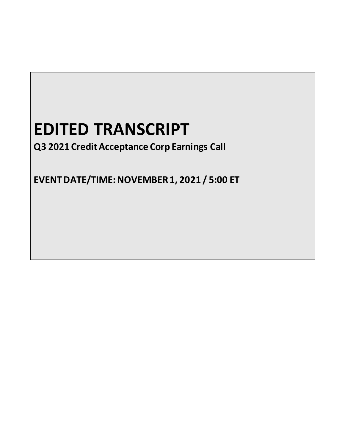# **EDITED TRANSCRIPT**

**Q3 2021 Credit Acceptance Corp Earnings Call**

**EVENT DATE/TIME: NOVEMBER1, 2021 / 5:00 ET**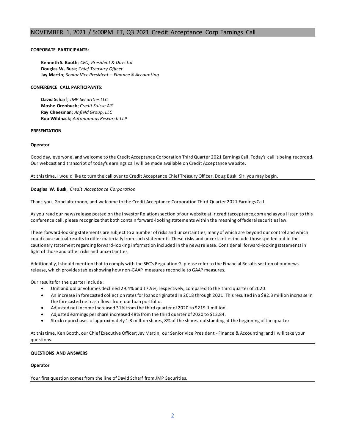# **CORPORATE PARTICIPANTS:**

**Kenneth S. Booth**; *CEO, President & Director* **Douglas W. Busk**; *Chief Treasury Officer* **Jay Martin**; *Senior Vice President – Finance & Accounting*

## **CONFERENCE CALL PARTICIPANTS:**

**David Scharf**; *JMP Securities LLC* **Moshe Orenbuch**; *Credit Suisse AG* **Ray Cheesman**; *Anfield Group, LLC* **Rob Wildhack**; *Autonomous Research LLP*

#### **PRESENTATION**

# **Operator**

Good day, everyone, and welcome to the Credit Acceptance Corporation Third Quarter 2021 Earnings Call. Today's call is being recorded. Our webcast and transcript of today's earnings call will be made available on Credit Acceptance website.

# At this time, I would like to turn the call over to Credit Acceptance Chief Treasury Officer, Doug Busk. Sir, you may begin.

# **Douglas W. Busk**; *Credit Acceptance Corporation*

Thank you. Good afternoon, and welcome to the Credit Acceptance Corporation Third Quarter 2021 Earnings Call.

As you read our news release posted on the Investor Relations section of our website at ir.creditacceptance.com and as you listen to this conference call, please recognize that both contain forward-looking statements within the meaning of federal securities law.

These forward-looking statements are subject to a number of risks and uncertainties, many of which are beyond our control and which could cause actual results to differ materially from such statements. These risks and uncertainties include those spelled out in the cautionary statement regarding forward-looking information included in the news release. Consider all forward-looking statements in light of those and other risks and uncertainties.

Additionally, I should mention that to comply with the SEC's Regulation G, please refer to the Financial Results section of our news release, which provides tables showing how non-GAAP measures reconcile to GAAP measures.

Our results for the quarter include:

- Unit and dollar volumes declined 29.4% and 17.9%, respectively, compared to the third quarter of 2020.
- An increase in forecasted collection rates for loans originated in 2018 through 2021. This resulted in a \$82.3 million increa se in the forecasted net cash flows from our loan portfolio.
- Adjusted net income increased 31% from the third quarter of 2020 to \$219.1 million.
- Adjusted earnings per share increased 48% from the third quarter of 2020 to \$13.84.
- Stock repurchases of approximately 1.3 million shares, 8% of the shares outstanding at the beginning of the quarter.

At this time, Ken Booth, our Chief Executive Officer; Jay Martin, our Senior Vice President - Finance & Accounting; and I will take your questions.

# **QUESTIONS AND ANSWERS**

#### **Operator**

Your first question comes from the line of David Scharf from JMP Securities.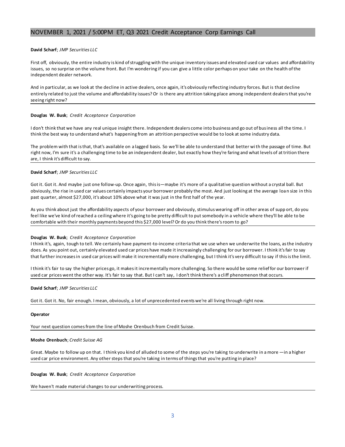# **David Scharf**; *JMP Securities LLC*

First off, obviously, the entire industry is kind of struggling with the unique inventory issues and elevated used car values and affordability issues, so no surprise on the volume front. But I'm wondering if you can give a little color perhaps on your take on the health of the independent dealer network.

And in particular, as we look at the decline in active dealers, once again, it's obviously reflecting industry forces. But is that decline entirely related to just the volume and affordability issues? Or is there any attrition taking place among independent dealers that you're seeing right now?

#### **Douglas W. Busk**; *Credit Acceptance Corporation*

I don't think that we have any real unique insight there. Independent dealers come into business and go out of business all the time. I think the best way to understand what's happening from an attrition perspective would be to look at some industry data.

The problem with that is that, that's available on a lagged basis. So we'll be able to understand that better wi th the passage of time. But right now, I'm sure it's a challenging time to be an independent dealer, but exactly how they're faring and what levels of at trition there are, I think it's difficult to say.

# **David Scharf**; *JMP Securities LLC*

Got it. Got it. And maybe just one follow-up. Once again, this is—maybe it's more of a qualitative question without a crystal ball. But obviously, the rise in used car values certainly impacts your borrower probably the most. And just looking at the average loan size in this past quarter, almost \$27,000, it's about 10% above what it was just in the first half of the year.

As you think about just the affordability aspects of your borrower and obviously, stimulus wearing off in other areas of supp ort, do you feel like we've kind of reached a ceiling where it's going to be pretty difficult to put somebody in a vehicle where they'll be able to be comfortable with their monthly payments beyond this \$27,000 level? Or do you think there's room to go?

#### **Douglas W. Busk**; *Credit Acceptance Corporation*

I think it's, again, tough to tell. We certainly have payment-to-income criteria that we use when we underwrite the loans, as the industry does. As you point out, certainly elevated used car prices have made it increasingly challenging for our borrower. I think it's fair to say that further increases in used car prices will make it incrementally more challenging, but I think it's very difficult to say if this is the limit.

I think it's fair to say the higher prices go, it makes it incrementally more challenging. So there would be some relief for our borrower if used car prices went the other way. It's fair to say that. But I can't say, I don't think there's a cliff phenomenon that occurs.

**David Scharf**; *JMP Securities LLC*

Got it. Got it. No, fair enough. I mean, obviously, a lot of unprecedented events we're all living through right now.

#### **Operator**

Your next question comes from the line of Moshe Orenbuch from Credit Suisse.

#### **Moshe Orenbuch**; *Credit Suisse AG*

Great. Maybe to follow up on that. I think you kind of alluded to some of the steps you're taking to underwrite in a more —in a higher used car price environment. Any other steps that you're taking in terms of things that you're putting in place?

**Douglas W. Busk**; *Credit Acceptance Corporation*

We haven't made material changes to our underwriting process.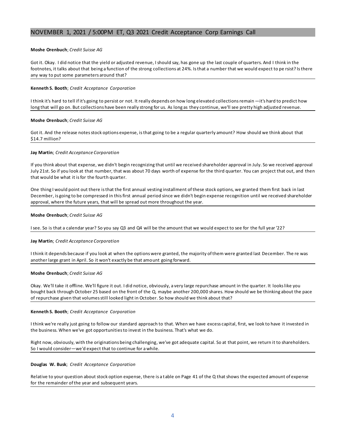# **Moshe Orenbuch**; *Credit Suisse AG*

Got it. Okay. I did notice that the yield or adjusted revenue, I should say, has gone up the last couple of quarters. And I think in the footnotes, it talks about that being a function of the strong collections at 24%. Is that a number that we would expect to pe rsist? Is there any way to put some parameters around that?

# **Kenneth S. Booth**; *Credit Acceptance Corporation*

I think it's hard to tell if it's going to persist or not. It really depends on how long elevated collections remain —it's hard to predict how long that will go on. But collections have been really strong for us. As long as they continue, we'll see pretty high adjusted revenue.

#### **Moshe Orenbuch**; *Credit Suisse AG*

Got it. And the release notes stock options expense, is that going to be a regular quarterly amount? How should we think about that \$14.7 million?

# **Jay Martin**; *Credit Acceptance Corporation*

If you think about that expense, we didn't begin recognizing that until we received shareholder approval in July. So we received approval July 21st. So if you look at that number, that was about 70 days worth of expense for the third quarter. You can project that out, and then that would be what it is for the fourth quarter.

One thing I would point out there is that the first annual vesting installment of these stock options, we granted them first back in last December, is going to be compressed in this first annual period since we didn't begin expense recognition until we received shareholder approval, where the future years, that will be spread out more throughout the year.

# **Moshe Orenbuch**; *Credit Suisse AG*

I see. So is that a calendar year? So you say Q3 and Q4 will be the amount that we would expect to see for the full year '22?

#### **Jay Martin**; *Credit Acceptance Corporation*

I think it depends because if you look at when the options were granted, the majority of them were granted last December. The re was another large grant in April. So it won't exactly be that amount going forward.

#### **Moshe Orenbuch**; *Credit Suisse AG*

Okay. We'll take it offline. We'll figure it out. I did notice, obviously, a very large repurchase amount in the quarter. It looks like you bought back through October 25 based on the front of the Q, maybe another 200,000 shares. How should we be thinking about the pace of repurchase given that volumes still looked light in October. So how should we think about that?

#### **Kenneth S. Booth**; *Credit Acceptance Corporation*

I think we're really just going to follow our standard approach to that. When we have excess capital, first, we look to have it invested in the business. When we've got opportunities to invest in the business. That's what we do.

Right now, obviously, with the originations being challenging, we've got adequate capital. So at that point, we return it to shareholders. So I would consider—we'd expect that to continue for a while.

#### **Douglas W. Busk**; *Credit Acceptance Corporation*

Relative to your question about stock option expense, there is a table on Page 41 of the Q that shows the expected amount of expense for the remainder of the year and subsequent years.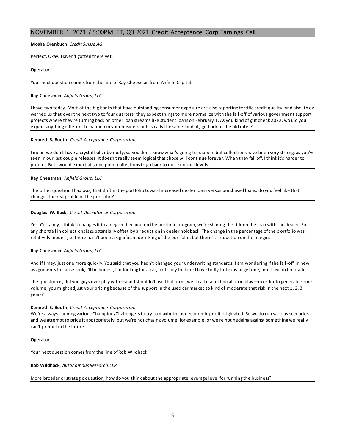# **Moshe Orenbuch**; *Credit Suisse AG*

# Perfect. Okay. Haven't gotten there yet.

# **Operator**

Your next question comes from the line of Ray Cheesman from Anfield Capital.

## **Ray Cheesman**; *Anfield Group, LLC*

I have two today. Most of the big banks that have outstanding consumer exposure are also reporting terrific credit quality. And also, th ey warned us that over the next two to four quarters, they expect things to more normalize with the fall-off of various government support projects where they're turning back on other loan streams like student loans on February 1. As you kind of gut check 2022, wo uld you expect anything different to happen in your business or basically the same kind of, go back to the old rates?

# **Kenneth S. Booth**; *Credit Acceptance Corporation*

I mean we don't have a crystal ball, obviously, so you don't know what's going to happen, but collections have been very stro ng, as you've seen in our last couple releases. It doesn't really seem logical that those will continue forever. When they fall off, I think it's harder to predict. But I would expect at some point collections to go back to more normal levels.

# **Ray Cheesman**; *Anfield Group, LLC*

The other question I had was, that shift in the portfolio toward increased dealer loans versus purchased loans, do you feel like that changes the risk profile of the portfolio?

# **Douglas W. Busk**; *Credit Acceptance Corporation*

Yes. Certainly, I think it changes it to a degree because on the portfolio program, we're sharing the risk on the loan with the dealer. So any shortfall in collections is substantially offset by a reduction in dealer holdback. The change in the percentage of the p ortfolio was relatively modest, so there hasn't been a significant derisking of the portfolio, but there's a reduction on the margin.

#### **Ray Cheesman**; *Anfield Group, LLC*

And if I may, just one more quickly. You said that you hadn't changed your underwriting standards. I am wondering if the fall -off in new assignments because look, I'll be honest, I'm looking for a car, and they told me I have to fly to Texas to get one, an d I live in Colorado.

The question is, did you guys ever play with—and I shouldn't use that term, we'll call it a technical term play—in order to generate some volume, you might adjust your pricing because of the support in the used car market to kind of moderate that risk in the next 1, 2, 3 years?

# **Kenneth S. Booth**; *Credit Acceptance Corporation*

We're always running various Champion/Challengers to try to maximize our economic profit originated. So we do run various scenarios, and we attempt to price it appropriately, but we're not chasing volume, for example, or we're not hedging against something we really can't predict in the future.

#### **Operator**

Your next question comes from the line of Rob Wildhack.

**Rob Wildhack**; *Autonomous Research LLP*

More broader or strategic question, how do you think about the appropriate leverage level for running the business?